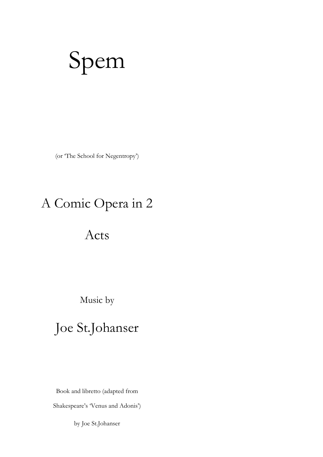# Spem

(or 'The School for Negentropy')

# A Comic Opera in 2

# Acts

Music by

# Joe St.Johanser

Book and libretto (adapted from

Shakespeare's 'Venus and Adonis')

by Joe St.Johanser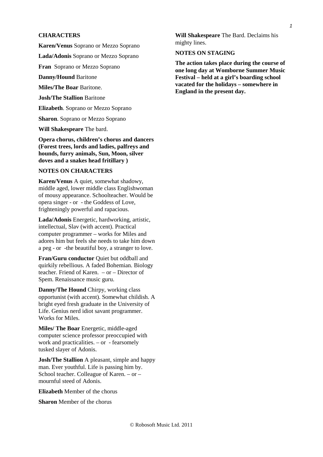# **CHARACTERS**

**Karen/Venus** Soprano or Mezzo Soprano

**Lada/Adonis** Soprano or Mezzo Soprano

**Fran** Soprano or Mezzo Soprano

**Danny/Hound** Baritone

**Miles/The Boar** Baritone.

**Josh/The Stallion** Baritone

**Elizabeth**. Soprano or Mezzo Soprano

**Sharon**. Soprano or Mezzo Soprano

**Will Shakespeare** The bard.

**Opera chorus, children's chorus and dancers (Forest trees, lords and ladies, palfreys and hounds, furry animals, Sun, Moon, silver doves and a snakes head fritillary )** 

# **NOTES ON CHARACTERS**

**Karen/Venus** A quiet, somewhat shadowy, middle aged, lower middle class Englishwoman of mousy appearance. Schoolteacher. Would be opera singer - or - the Goddess of Love, frighteningly powerful and rapacious.

**Lada/Adonis** Energetic, hardworking, artistic, intellectual, Slav (with accent). Practical computer programmer – works for Miles and adores him but feels she needs to take him down a peg - or -the beautiful boy, a stranger to love.

**Fran/Guru conductor** Quiet but oddball and quirkily rebellious. A faded Bohemian. Biology teacher. Friend of Karen. – or – Director of Spem. Renaissance music guru.

**Danny/The Hound** Chirpy, working class opportunist (with accent). Somewhat childish. A bright eyed fresh graduate in the University of Life. Genius nerd idiot savant programmer. Works for Miles.

**Miles/ The Boar Energetic, middle-aged** computer science professor preoccupied with work and practicalities. – or - fearsomely tusked slayer of Adonis.

**Josh/The Stallion** A pleasant, simple and happy man. Ever youthful. Life is passing him by. School teacher. Colleague of Karen. – or – mournful steed of Adonis.

**Elizabeth** Member of the chorus

**Sharon** Member of the chorus

**Will Shakespeare** The Bard. Declaims his mighty lines.

# **NOTES ON STAGING**

**The action takes place during the course of one long day at Womborne Summer Music Festival – held at a girl's boarding school vacated for the holidays – somewhere in England in the present day.**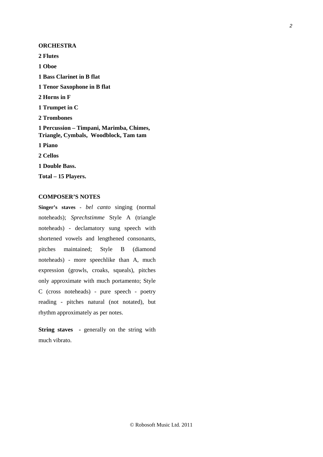## **ORCHESTRA**

**2 Flutes** 

**1 Oboe** 

- **1 Bass Clarinet in B flat**
- **1 Tenor Saxophone in B flat**
- **2 Horns in F**
- **1 Trumpet in C**
- **2 Trombones**
- **1 Percussion Timpani, Marimba, Chimes, Triangle, Cymbals, Woodblock, Tam tam**

**1 Piano** 

**2 Cellos** 

**1 Double Bass.** 

**Total – 15 Players.** 

### **COMPOSER'S NOTES**

**Singer's staves -** *bel canto* singing (normal noteheads); *Sprechstimme* Style A (triangle noteheads) - declamatory sung speech with shortened vowels and lengthened consonants, pitches maintained; Style B (diamond noteheads) - more speechlike than A, much expression (growls, croaks, squeals), pitches only approximate with much portamento; Style C (cross noteheads) - pure speech - poetry reading - pitches natural (not notated), but rhythm approximately as per notes.

**String staves** - generally on the string with much vibrato.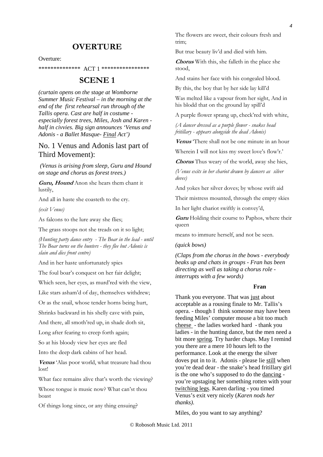# **OVERTURE**

### Overture:

\*\*\*\*\*\*\*\*\*\*\*\*\*\* ACT 1 \*\*\*\*\*\*\*\*\*\*\*\*\*\*\*\*

# **SCENE 1**

*(curtain opens on the stage at Womborne Summer Music Festival – in the morning at the end of the first rehearsal run through of the Tallis opera. Cast are half in costume especially forest trees, Miles, Josh and Karen half in civvies. Big sign announces 'Venus and Adonis - a Ballet Masque- Final Act')* 

# No. 1 Venus and Adonis last part of Third Movement):

 *(Venus is arising from sleep, Guru and Hound on stage and chorus as forest trees.)* 

**Guru, Hound** Anon she hears them chant it lustily,

And all in haste she coasteth to the cry.

*(exit Venus)* 

As falcons to the lure away she flies;

The grass stoops not she treads on it so light;

*(Hunting party dance entry - The Boar in the lead - until The Boar turns on the hunters - they flee but Adonis is slain and dies front centre)* 

And in her haste unfortunately spies

The foul boar's conquest on her fair delight;

Which seen, her eyes, as murd'red with the view,

Like stars asham'd of day, themselves withdrew;

Or as the snail, whose tender horns being hurt,

Shrinks backward in his shelly cave with pain,

And there, all smoth'red up, in shade doth sit,

Long after fearing to creep forth again;

So at his bloody view her eyes are fled

Into the deep dark cabins of her head.

**Venus** 'Alas poor world, what treasure had thou lost!

What face remains alive that's worth the viewing?

Whose tongue is music now? What can'st thou boast

Of things long since, or any thing ensuing?

The flowers are sweet, their colours fresh and trim;

But true beauty liv'd and died with him.

**Chorus** With this, she falleth in the place she stood,

And stains her face with his congealed blood.

By this, the boy that by her side lay kill'd

Was melted like a vapour from her sight, And in his blodd that on the ground lay spill'd

A purple flower sprang up, check'red with white,

*(A dancer dressed as a purple flower - snakes head fritillary - appears alongside the dead Adonis)* 

**Venus** 'There shall not be one minute in an hour

Wherein I will not kiss my sweet love's flow'r.'

**Chorus** Thus weary of the world, away she hies,

*(Venus exits in her chariot drawn by dancers as silver doves)* 

And yokes her silver doves; by whose swift aid

Their mistress mounted, through the empty skies

In her light chariot swiftly is convey'd,

**Guru** Holding their course to Paphos, where their queen

means to immure herself, and not be seen.

### *(quick bows)*

*(Claps from the chorus in the bows - everybody beaks up and chats in groups - Fran has been directing as well as taking a chorus role interrupts with a few words)* 

### **Fran**

Thank you everyone. That was just about acceptable as a rousing finale to Mr. Tallis's opera. - though I think someone may have been feeding Miles' computer mouse a bit too much cheese - the ladies worked hard - thank you ladies - in the hunting dance, but the men need a bit more spring. Try harder chaps. May I remind you there are a mere 10 hours left to the performance. Look at the energy the silver doves put in to it. Adonis - please lie still when you're dead dear - the snake's head fritillary girl is the one who's supposed to do the dancing you're upstaging her something rotten with your twitching legs. Karen darling - you timed Venus's exit very nicely (*Karen nods her thanks)*.

Miles, do you want to say anything?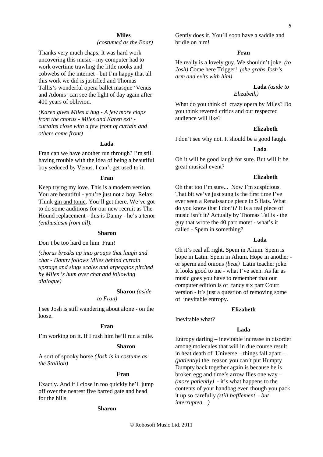### **Miles**

*(costumed as the Boar)* 

Thanks very much chaps. It was hard work uncovering this music - my computer had to work overtime trawling the little nooks and cobwebs of the internet - but I'm happy that all this work we did is justified and Thomas Tallis's wonderful opera ballet masque 'Venus and Adonis' can see the light of day again after 400 years of oblivion.

*(Karen gives Miles a hug - A few more claps from the chorus - Miles and Karen exit curtains close with a few front of curtain and others come front)* 

### **Lada**

Fran can we have another run through? I'm still having trouble with the idea of being a beautiful boy seduced by Venus. I can't get used to it.

#### **Fran**

Keep trying my love. This is a modern version. You are beautiful - you're just not a boy. Relax. Think gin and tonic. You'll get there. We've got to do some auditions for our new recruit as The Hound replacement - this is Danny - he's a tenor *(enthusiasm from all).* 

### **Sharon**

Don't be too hard on him Fran!

*(chorus breaks up into groups that laugh and chat - Danny follows Miles behind curtain upstage and sings scales and arpeggios pitched by Miles''s hum over chat and following dialogue)* 

### **Sharon** *(aside*

### *to Fran)*

I see Josh is still wandering about alone - on the loose.

### **Fran**

I'm working on it. If I rush him he'll run a mile.

### **Sharon**

A sort of spooky horse *(Josh is in costume as the Stallion)* 

#### **Fran**

Exactly. And if I close in too quickly he'll jump off over the nearest five barred gate and head for the hills.

### **Sharon**

Gently does it. You'll soon have a saddle and bridle on him!

### **Fran**

He really is a lovely guy. We shouldn't joke. *(to Josh)* Come here Trigger! *(she grabs Josh's arm and exits with him)* 

**Lada** *(aside to* 

### *Elizabeth)*

What do you think of crazy opera by Miles? Do you think revered critics and our respected audience will like?

# **Elizabeth**

I don't see why not. It should be a good laugh.

#### **Lada**

Oh it will be good laugh for sure. But will it be great musical event?

### **Elizabeth**

Oh that too I'm sure... Now I'm suspicious. That bit we've just sung is the first time I've ever seen a Renaissance piece in 5 flats. What do you know that I don't? It is a real piece of music isn't it? Actually by Thomas Tallis - the guy that wrote the 40 part motet - what's it called - Spem in something?

### **Lada**

Oh it's real all right. Spem in Alium. Spem is hope in Latin. Spem in Alium. Hope in another or sperm and onions *(beat)* Latin teacher joke. It looks good to me - what I've seen. As far as music goes you have to remember that our computer edition is of fancy six part Court version - it's just a question of removing some of inevitable entropy.

### **Elizabeth**

Inevitable what?

### **Lada**

Entropy darling – inevitable increase in disorder among molecules that will in due course result in heat death of Universe – things fall apart – *(patiently)* the reason you can't put Humpty Dumpty back together again is because he is broken egg and time's arrow flies one way – *(more patiently)* - it's what happens to the contents of your handbag even though you pack it up so carefully *(still bafflement – but interrupted…)*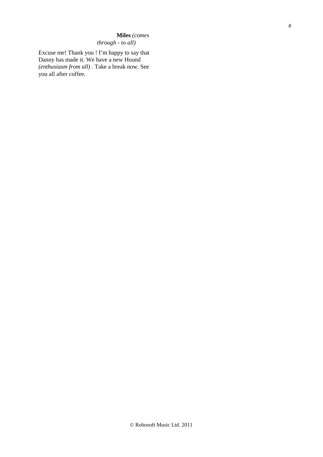# **Miles** *(comes through - to all)*

Excuse me! Thank you ! I'm happy to say that Danny has made it. We have a new Hound *(enthusiasm from all)* . Take a break now. See you all after coffee.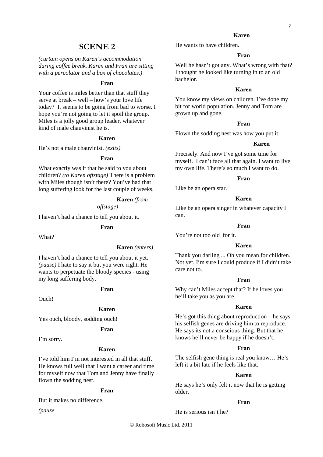# **SCENE 2**

*(curtain opens on Karen's accommodation during coffee break. Karen and Fran are sitting with a percolator and a box of chocolates.)* 

### **Fran**

Your coffee is miles better than that stuff they serve at break – well – how's your love life today? It seems to be going from bad to worse. I hope you're not going to let it spoil the group. Miles is a jolly good group leader, whatever kind of male chauvinist he is.

### **Karen**

He's not a male chauvinist. *(exits)* 

### **Fran**

What exactly was it that he said to you about children? *(to Karen offstage)* There is a problem with Miles though isn't there? You've had that long suffering look for the last couple of weeks.

### **Karen** *(from offstage)*

I haven't had a chance to tell you about it.

### **Fran**

What?

### **Karen** *(enters)*

I haven't had a chance to tell you about it yet. *(pause)* I hate to say it but you were right. He wants to perpetuate the bloody species - using my long suffering body.

### **Fran**

Ouch!

### **Karen**

Yes ouch, bloody, sodding ouch!

### **Fran**

I'm sorry.

# **Karen**

I've told him I'm not interested in all that stuff. He knows full well that I want a career and time for myself now that Tom and Jenny have finally flown the sodding nest.

# **Fran**

But it makes no difference.

*(pause* 

### **Karen**

He wants to have children.

# **Fran**

Well he hasn't got any. What's wrong with that? I thought he looked like turning in to an old bachelor.

### **Karen**

You know my views on children. I've done my bit for world population. Jenny and Tom are grown up and gone.

## **Fran**

Flown the sodding nest was how you put it.

### **Karen**

Precisely. And now I've got some time for myself. I can't face all that again. I want to live my own life. There's so much I want to do.

### **Fran**

Like be an opera star.

### **Karen**

Like be an opera singer in whatever capacity I can.

### **Fran**

You're not too old for it.

# **Karen**

Thank you darling ... Oh you mean for children. Not yet. I'm sure I could produce if I didn't take care not to.

### **Fran**

Why can't Miles accept that? If he loves you he'll take you as you are.

# **Karen**

He's got this thing about reproduction – he says his selfish genes are driving him to reproduce. He says its not a conscious thing. But that he knows he'll never be happy if he doesn't.

### **Fran**

The selfish gene thing is real you know… He's left it a bit late if he feels like that.

### **Karen**

He says he's only felt it now that he is getting older.

#### **Fran**

He is serious isn't he?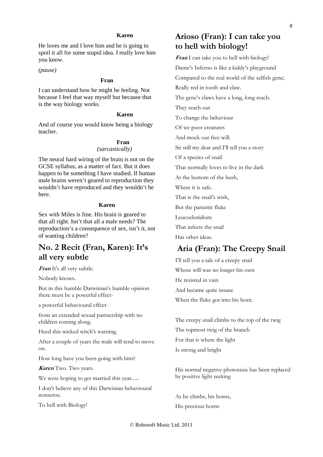## **Karen**

He loves me and I love him and he is going to spoil it all for some stupid idea. I really love him you know.

*(pause)* 

### **Fran**

I can understand how he might be feeling. Not because I feel that way myself but because that is the way biology works.

# **Karen**

And of course you would know being a biology teacher.

### **Fran**  *(sarcastically)*

The neural hard wiring of the brain is not on the GCSE syllabus, as a matter of fact. But it does happen to be something I have studied. If human male brains weren't geared to reproduction they wouldn't have reproduced and they wouldn't be here.

### **Karen**

Sex with Miles is fine. His brain is geared to that all right. Isn't that all a male needs? The reproduction's a consequence of sex, isn't it, not of wanting children?

# **No. 2 Recit (Fran, Karen): It's all very subtle**

**Fran** It's all very subtle.

Nobody knows.

But in this humble Darwinian's humble opinion there must be a powerful effect-

a powerful behavioural effect-

from an extended sexual partnership with no children coming along.

Heed this wicked witch's warning.

After a couple of years the male will tend to move on.

How long have you been going with him?

**Karen** Two. Two years.

We were hoping to get married this year.......

I don't believe any of this Darwinian behavioural nonsense.

To hell with Biology!

# **Arioso (Fran): I can take you to hell with biology!**

**Fran** I can take you to hell with biology! Dante's Inferno is like a kiddy's playground Compared to the real world of the selfish gene; Really red in tooth and claw. The gene's claws have a long, long reach. They reach out To change the behaviour Of we poor creatures And mock our free will. Sit still my dear and I'll tell you a story Of a species of snail That normally loves to live in the dark At the bottom of the bush, Where it is safe.

That is the snail's wish,

But the parasitic fluke

Leucocloridium

That infects the snail

Has other ideas.

# **Aria (Fran): The Creepy Snail**

I'll tell you a tale of a creepy snail Whose will was no longer his own He resisted in vain And became quite insane When the fluke got into his horn.

The creepy snail climbs to the top of the twig The topmost twig of the branch For that is where the light Is strong and bright

His normal negative phototaxis has been replaced by positive light seeking

As he climbs, his horns, His precious horns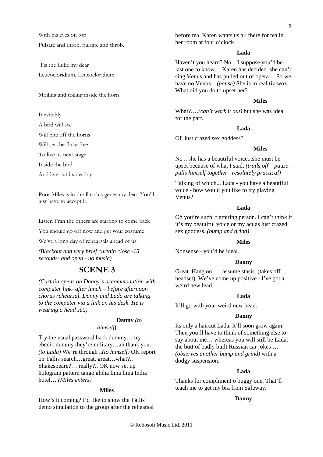With his eyes on top Pulsate and throb, pulsate and throb.

'Tis the fluke my dear Leucocloridium, Leucocloridium

Moiling and toiling inside the horn

Inevitably

A bird will see

Will bite off the horns

Will set the fluke free

To live its next stage

Inside the bird

And live out its destiny

Poor Miles is in thrall to his genes my dear. You'll just have to accept it.

Listen Fran the others are starting to come back

You should go off now and get your costume

We've a long day of rehearsals ahead of us.

*(Blackout and very brief curtain close -15 seconds- and open - no music)* 

# **SCENE 3**

*(Curtain opens on Danny's accommodation with computer link- after lunch – before afternoon chorus rehearsal. Danny and Lada are talking to the computer via a link on his desk. He is wearing a head set.)* 

# **Danny** *(to*

*himself***)** 

Try the usual password hack dummy… try ebcdic dummy they're military…ah thank you. *(to Lada)* We're through ..*(to himself)* OK report on Tallis search…great, great…what?.. Shakespeare?… really?.. OK now set up hologram pattern tango alpha lima lima India hotel… *(Miles enters)* 

### **Miles**

How's it coming? I'd like to show the Tallis demo simulation to the group after the rehearsal

before tea. Karen wants us all there for tea in her room at four o'clock.

# **Lada**

Haven't you heard? No .. I suppose you'd be last one to know… Karen has decided she can't sing Venus and has pulled out of opera… So we have no Venus…*(pause)* She is in real tiz-woz. What did you do to upset her?

### **Miles**

What?.…*(can't work it out)* but she was ideal for the part.

# **Lada**

Of lust crazed sex goddess?

# **Miles**

No .. she has a beautiful voice...she must be upset because of what I said. *(trails off – pause pulls himself together –resolutely practical)* 

Talking of which... Lada - you have a beautiful voice - how would you like to try playing Venus?

### **Lada**

Oh you're such flattering person. I can't think if it's my beautiful voice or my act as lust crazed sex goddess. *(bump and grind)*

### **Miles**

Nonsense - you'd be ideal.

### **Danny**

Great. Hang on….. assume stasis. (takes off headset). We've come up positive - I've got a weird new lead.

# **Lada**

It'll go with your weird new head.

### **Danny**

Its only a haircut Lada. It'll soon grow again. Then you'll have to think of something else to say about me… whereas you will still be Lada, the butt of badly built Russian car jokes … *(observes another bump and grind)* with a dodgy suspension.

### **Lada**

Thanks for compliment o buggy one. That'll teach me to get my bra from Safeway.

### **Danny**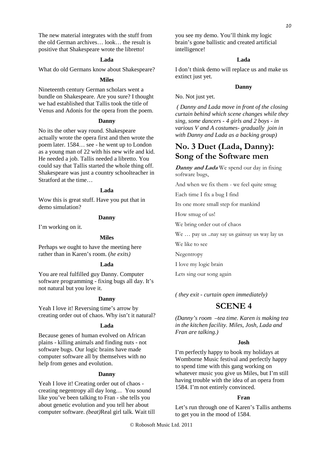The new material integrates with the stuff from the old German archives… look… the result is positive that Shakespeare wrote the libretto!

### **Lada**

What do old Germans know about Shakespeare?

### **Miles**

Nineteenth century German scholars went a bundle on Shakespeare. Are you sure? I thought we had established that Tallis took the title of Venus and Adonis for the opera from the poem.

### **Danny**

No its the other way round. Shakespeare actually wrote the opera first and then wrote the poem later. 1584… see - he went up to London as a young man of 22 with his new wife and kid. He needed a job. Tallis needed a libretto. You could say that Tallis started the whole thing off. Shakespeare was just a country schoolteacher in Stratford at the time…

### **Lada**

Wow this is great stuff. Have you put that in demo simulation?

### **Danny**

I'm working on it.

### **Miles**

Perhaps we ought to have the meeting here rather than in Karen's room. (*he exits)* 

### **Lada**

You are real fulfilled guy Danny. Computer software programming - fixing bugs all day. It's not natural but you love it.

### **Danny**

Yeah I love it! Reversing time's arrow by creating order out of chaos. Why isn't it natural?

### **Lada**

Because genes of human evolved on African plains - killing animals and finding nuts - not software bugs. Our logic brains have made computer software all by themselves with no help from genes and evolution.

#### **Danny**

Yeah I love it! Creating order out of chaos creating negentropy all day long… You sound like you've been talking to Fran - she tells you about genetic evolution and you tell her about computer software. *(beat)*Real girl talk. Wait till you see my demo. You'll think my logic brain's gone ballistic and created artificial intelligence!

### **Lada**

I don't think demo will replace us and make us extinct just yet.

### **Danny**

No. Not just yet.

*( Danny and Lada move in front of the closing curtain behind which scene changes while they sing, some dancers - 4 girls and 2 boys - in various V and A costumes- gradually join in with Danny and Lada as a backing group)* 

# **No. 3 Duet (Lada, Danny): Song of the Software men**

**Danny and Lada** We spend our day in fixing software bugs,

And when we fix them - we feel quite smug

Each time I fix a bug I find

Its one more small step for mankind

How smug of us!

We bring order out of chaos

We … pay us ..nay say us gainsay us way lay us

We like to see

**Negentropy** 

I love my logic brain

Lets sing our song again

*( they exit - curtain open immediately)*

# **SCENE 4**

*(Danny's room –tea time. Karen is making tea in the kitchen facility. Miles, Josh, Lada and Fran are talking.)* 

### **Josh**

I'm perfectly happy to book my holidays at Womborne Music festival and perfectly happy to spend time with this gang working on whatever music you give us Miles, but I'm still having trouble with the idea of an opera from 1584. I'm not entirely convinced.

### **Fran**

Let's run through one of Karen's Tallis anthems to get you in the mood of 1584.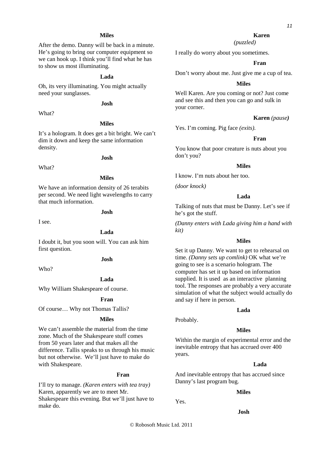# **Miles**

After the demo. Danny will be back in a minute. He's going to bring our computer equipment so we can hook up. I think you'll find what he has to show us most illuminating.

# **Lada**

Oh, its very illuminating. You might actually need your sunglasses.

# **Josh**

What?

What?

# **Miles**

It's a hologram. It does get a bit bright. We can't dim it down and keep the same information density.

### **Josh**

# **Miles**

We have an information density of 26 terabits per second. We need light wavelengths to carry that much information.

# **Josh**

I see.

### **Lada**

I doubt it, but you soon will. You can ask him first question.

### **Josh**

Who?

### **Lada**

Why William Shakespeare of course.

### **Fran**

Of course… Why not Thomas Tallis?

### **Miles**

We can't assemble the material from the time zone. Much of the Shakespeare stuff comes from 50 years later and that makes all the difference. Tallis speaks to us through his music but not otherwise. We'll just have to make do with Shakespeare.

### **Fran**

I'll try to manage. *(Karen enters with tea tray)*  Karen, apparently we are to meet Mr. Shakespeare this evening. But we'll just have to make do.

11

*(puzzled)*

I really do worry about you sometimes.

### **Fran**

Don't worry about me. Just give me a cup of tea.

### **Miles**

Well Karen. Are you coming or not? Just come and see this and then you can go and sulk in your corner.

### **Karen** *(pause)*

Yes. I'm coming. Pig face *(exits).* 

### **Fran**

You know that poor creature is nuts about you don't you?

### **Miles**

I know. I'm nuts about her too.

*(door knock)* 

### **Lada**

Talking of nuts that must be Danny. Let's see if he's got the stuff.

*(Danny enters with Lada giving him a hand with kit)* 

### **Miles**

Set it up Danny. We want to get to rehearsal on time. *(Danny sets up comlink)* OK what we're going to see is a scenario hologram. The computer has set it up based on information supplied. It is used as an interactive planning tool. The responses are probably a very accurate simulation of what the subject would actually do and say if here in person.

### **Lada**

Probably.

### **Miles**

Within the margin of experimental error and the inevitable entropy that has accrued over 400 years.

### **Lada**

And inevitable entropy that has accrued since Danny's last program bug.

### **Miles**

Yes.

### **Josh**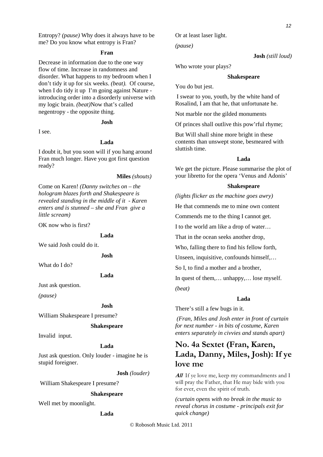Entropy? *(pause)* Why does it always have to be me? Do you know what entropy is Fran?

### **Fran**

Decrease in information due to the one way flow of time. Increase in randomness and disorder. What happens to my bedroom when I don't tidy it up for six weeks. *(beat).* Of course, when I do tidy it up I'm going against Nature introducing order into a disorderly universe with my logic brain. *(beat)*Now that's called negentropy - the opposite thing.

### **Josh**

I see.

# **Lada**

I doubt it, but you soon will if you hang around Fran much longer. Have you got first question ready?

#### **Miles** *(shouts)*

Come on Karen! *(Danny switches on – the hologram blazes forth and Shakespeare is revealed standing in the middle of it - Karen enters and is stunned – she and Fran give a little scream)* 

OK now who is first?

#### **Lada**

We said Josh could do it.

# **Josh**

What do I do?

### **Lada**

Just ask question.

*(pause)* 

### **Josh**

William Shakespeare I presume?

### **Shakespeare**

Invalid input.

### **Lada**

Just ask question. Only louder - imagine he is stupid foreigner.

**Josh** *(louder)* 

William Shakespeare I presume?

### **Shakespeare**

Well met by moonlight.

### **Lada**

Or at least laser light.

*(pause)* 

# **Josh** *(still loud)*

Who wrote your plays?

### **Shakespeare**

You do but jest.

I swear to you, youth, by the white hand of Rosalind, I am that he, that unfortunate he.

Not marble nor the gilded monuments

Of princes shall outlive this pow'rful rhyme;

But Will shall shine more bright in these contents than unswept stone, besmeared with sluttish time.

### **Lada**

We get the picture. Please summarise the plot of your libretto for the opera 'Venus and Adonis'

#### **Shakespeare**

*(lights flicker as the machine goes awry)* 

He that commends me to mine own content

Commends me to the thing I cannot get.

I to the world am like a drop of water…

That in the ocean seeks another drop,

Who, falling there to find his fellow forth,

Unseen, inquisitive, confounds himself,…

So I, to find a mother and a brother,

In quest of them,… unhappy,… lose myself. *(beat)* 

### **Lada**

There's still a few bugs in it.

 *(Fran, Miles and Josh enter in front of curtain for next number - in bits of costume, Karen enters separately in civvies and stands apart)*

# **No. 4a Sextet (Fran, Karen, Lada, Danny, Miles, Josh): If ye love me**

**All** If ye love me, keep my commandments and I will pray the Father, that He may bide with you for ever, even the spirit of truth.

*(curtain opens with no break in the music to reveal chorus in costume - principals exit for quick change)*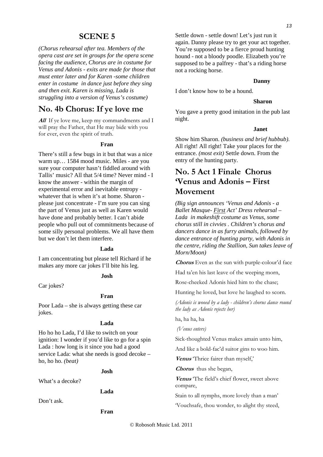# **SCENE 5**

*(Chorus rehearsal after tea. Members of the opera cast are set in groups for the opera scene facing the audience, Chorus are in costume for Venus and Adonis - exits are made for those that must enter later and for Karen -some children enter in costume in dance just before they sing and then exit. Karen is missing, Lada is struggling into a version of Venus's costume)* 

# **No. 4b Chorus: If ye love me**

**All** If ye love me, keep my commandments and I will pray the Father, that He may bide with you for ever, even the spirit of truth.

### **Fran**

There's still a few bugs in it but that was a nice warm up… 1584 mood music. Miles - are you sure your computer hasn't fiddled around with Tallis' music? All that 5/4 time? Never mind - I know the answer - within the margin of experimental error and inevitable entropy whatever that is when it's at home. Sharon please just concentrate - I'm sure you can sing the part of Venus just as well as Karen would have done and probably better. I can't abide people who pull out of commitments because of some silly personal problems. We all have them but we don't let them interfere.

### **Lada**

I am concentrating but please tell Richard if he makes any more car jokes I'll bite his leg.

### **Josh**

Car jokes?

### **Fran**

Poor Lada – she is always getting these car jokes.

### **Lada**

Ho ho ho Lada, I'd like to switch on your ignition: I wonder if you'd like to go for a spin Lada : how long is it since you had a good service Lada: what she needs is good decoke – ho, ho ho. *(beat)* 

### **Josh**

What's a decoke?

### **Lada**

Don't ask.

### **Fran**

Settle down - settle down! Let's just run it again. Danny please try to get your act together. You're supposed to be a fierce proud hunting hound - not a bloody poodle. Elizabeth you're supposed to be a palfrey - that's a riding horse not a rocking horse.

### **Danny**

I don't know how to be a hound.

### **Sharon**

You gave a pretty good imitation in the pub last night.

### **Janet**

Show him Sharon. *(business and brief hubbub)*. All right! All right! Take your places for the entrance. *(most exit)* Settle down. From the entry of the hunting party.

# **No. 5 Act 1 Finale Chorus 'Venus and Adonis – First Movement**

*(Big sign announces 'Venus and Adonis - a Ballet Masque- First Act' Dress rehearsal – Lada in makeshift costume as Venus, some chorus still in civvies . Children's chorus and dancers dance in as furry animals, followed by dance entrance of hunting party, with Adonis in the centre, riding the Stallion, Sun takes leave of Morn/Moon)* 

**Chorus** Even as the sun with purple-colour'd face

Had ta'en his last leave of the weeping morn,

Rose-cheeked Adonis hied him to the chase;

Hunting he loved, but love he laughed to scorn.

*(Adonis is wooed by a lady - children's chorus dance round the lady as Adonis rejects her)* 

ha, ha ha, ha

 *(Venus enters)* 

Sick-thoughted Venus makes amain unto him,

And like a bold-fac'd suitor gins to woo him.

**Venus** 'Thrice fairer than myself,'

**Chorus** thus she began,

**Venus** 'The field's chief flower, sweet above compare,

Stain to all nymphs, more lovely than a man'

'Vouchsafe, thou wonder, to alight thy steed,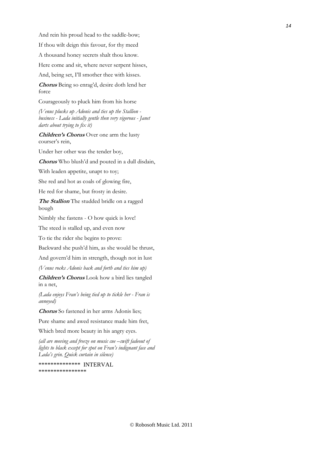And rein his proud head to the saddle-bow;

If thou wilt deign this favour, for thy meed

A thousand honey secrets shalt thou know.

Here come and sit, where never serpent hisses,

And, being set, I'll smother thee with kisses.

**Chorus** Being so enrag'd, desire doth lend her force

Courageously to pluck him from his horse

*(Venus plucks up Adonis and ties up the Stallion business - Lada initially gentle then very vigorous - Janet darts about trying to fix it)* 

**Children's Chorus** Over one arm the lusty courser's rein,

Under her other was the tender boy,

**Chorus** Who blush'd and pouted in a dull disdain,

With leaden appetite, unapt to toy;

She red and hot as coals of glowing fire,

He red for shame, but frosty in desire.

**The Stallion** The studded bridle on a ragged bough

Nimbly she fastens - O how quick is love!

The steed is stalled up, and even now

To tie the rider she begins to prove:

Backward she push'd him, as she would be thrust,

And govern'd him in strength, though not in lust

*(Venus rocks Adonis back and forth and ties him up)*

**Children's Chorus** Look how a bird lies tangled in a net,

*(Lada enjoys Fran's being tied up to tickle her - Fran is annoyed)* 

**Chorus** So fastened in her arms Adonis lies;

Pure shame and awed resistance made him fret,

Which bred more beauty in his angry eyes.

*(all are moving and freeze on music cue –swift fadeout of lights to black except for spot on Fran's indignant face and Lada's grin. Quick curtain in silence)* 

\*\*\*\*\*\*\*\*\*\*\*\*\*\* INTERVAL \*\*\*\*\*\*\*\*\*\*\*\*\*\*\*\*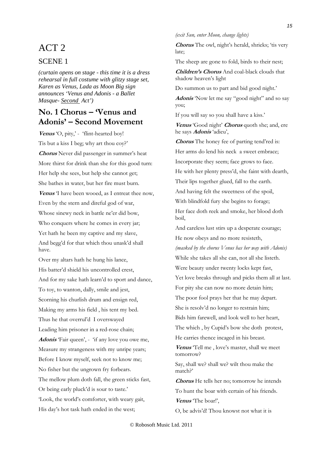# ACT 2

# SCENE 1

*(curtain opens on stage - this time it is a dress rehearsal in full costume with glitzy stage set, Karen as Venus, Lada as Moon Big sign announces 'Venus and Adonis - a Ballet Masque- Second Act')* 

# **No. 1 Chorus – 'Venus and Adonis' – Second Movement**

Venus <sup>'</sup>O, pity,' - 'flint-hearted boy! Tis but a kiss I beg; why art thou coy?' **Chorus** Never did passenger in summer's heat More thirst for drink than she for this good turn: Her help she sees, but help she cannot get; She bathes in water, but her fire must burn. **Venus** 'I have been wooed, as I entreat thee now, Even by the stern and direful god of war, Whose sinewy neck in battle ne'er did bow, Who conquers where he comes in every jar; Yet hath he been my captive and my slave, And begg'd for that which thou unask'd shall have.

Over my altars hath he hung his lance, His batter'd shield his uncontrolled crest, And for my sake hath learn'd to sport and dance, To toy, to wanton, dally, smile and jest, Scorning his churlish drum and ensign red, Making my arms his field , his tent my bed. Thus he that overrul'd I overswayed Leading him prisoner in a red-rose chain; Adonis **Fair queen'**, - 'if any love you owe me, Measure my strangeness with my unripe years; Before I know myself, seek not to know me; No fisher but the ungrown fry forbears. The mellow plum doth fall, the green sticks fast, Or being early pluck'd is sour to taste.' 'Look, the world's comforter, with weary gait, His day's hot task hath ended in the west;

*(exit Sun, enter Moon, change lights)* 

Chorus The owl, night's herald, shrieks; 'tis very late;

The sheep are gone to fold, birds to their nest;

**Children's Chorus** And coal-black clouds that shadow heaven's light

Do summon us to part and bid good night.'

**Adonis** 'Now let me say "good night" and so say you;

If you will say so you shall have a kiss.'

**Venus** 'Good night' **Chorus** quoth she; and, ere he says **Adonis** 'adieu',

**Chorus** The honey fee of parting tend'red is:

Her arms do lend his neck a sweet embrace;

Incorporate they seem; face grows to face.

He with her plenty press'd, she faint with dearth,

Their lips together glued, fall to the earth.

And having felt the sweetness of the spoil,

With blindfold fury she begins to forage;

Her face doth reek and smoke, her blood doth boil,

And careless lust stirs up a desperate courage; He now obeys and no more resisteth,

*(masked by the chorus Venus has her way with Adonis)* 

While she takes all she can, not all she listeth.

Were beauty under twenty locks kept fast,

Yet love breaks through and picks them all at last.

For pity she can now no more detain him;

The poor fool prays her that he may depart.

She is resolv'd no longer to restrain him;

Bids him farewell, and look well to her heart,

The which , by Cupid's bow she doth protest, He carries thence incaged in his breast.

**Venus** 'Tell me , love's master, shall we meet tomorrow?

Say, shall we? shall we? wilt thou make the match?'

**Chorus** He tells her no; tomorrow he intends To hunt the boar with certain of his friends.

**Venus** 'The boar!',

O, be advis'd! Thou knowst not what it is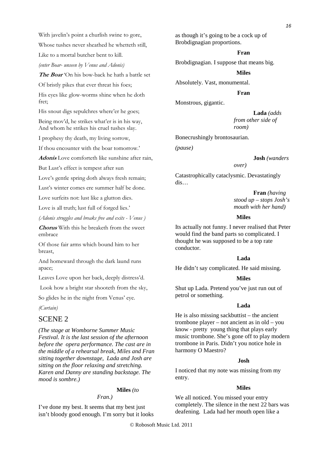With javelin's point a churlish swine to gore,

Whose tushes never sheathed he whetteth still,

Like to a mortal butcher bent to kill.

*(enter Boar- unseen by Venus and Adonis)* 

**The Boar** 'On his bow-back he hath a battle set

Of bristly pikes that ever threat his foes;

His eyes like glow-worms shine when he doth fret;

His snout digs sepulchres where'er he goes;

Being mov'd, he strikes what'er is in his way, And whom he strikes his cruel tushes slay.

I prophesy thy death, my living sorrow,

If thou encounter with the boar tomorrow.'

**Adonis** Love comforteth like sunshine after rain,

But Lust's effect is tempest after sun

Love's gentle spring doth always fresh remain;

Lust's winter comes ere summer half be done.

Love surfeits not: lust like a glutton dies.

Love is all truth; lust full of forged lies.'

*(Adonis struggles and breaks free and exits - Venus )* 

**Chorus** With this he breaketh from the sweet embrace

Of those fair arms which bound him to her breast,

And homeward through the dark laund runs apace;

Leaves Love upon her back, deeply distress'd.

Look how a bright star shooteth from the sky,

So glides he in the night from Venus' eye.

*(Curtain)* 

## SCENE 2

*(The stage at Womborne Summer Music Festival. It is the last session of the afternoon before the opera performance. The cast are in the middle of a rehearsal break, Miles and Fran sitting together downstage, Lada and Josh are sitting on the floor relaxing and stretching. Karen and Danny are standing backstage. The mood is sombre.)* 

# **Miles** *(to*

# *Fran.)*

I've done my best. It seems that my best just isn't bloody good enough. I'm sorry but it looks as though it's going to be a cock up of Brobdignagian proportions.

### **Fran**

Brobdignagian. I suppose that means big.

#### **Miles**

Absolutely. Vast, monumental.

### **Fran**

Monstrous, gigantic.

### **Lada** *(adds*

*from other side of room)*

Bonecrushingly brontosaurian.

*(pause)* 

#### **Josh** *(wanders*

*over)*

Catastrophically cataclysmic. Devastatingly dis…

> **Fran** *(having stood up – stops Josh's mouth with her hand)*

### **Miles**

Its actually not funny. I never realised that Peter would find the band parts so complicated. I thought he was supposed to be a top rate conductor.

# **Lada**

He didn't say complicated. He said missing.

### **Miles**

Shut up Lada. Pretend you've just run out of petrol or something.

### **Lada**

He is also missing sackbuttist – the ancient trombone player – not ancient as in old – you know - pretty young thing that plays early music trombone. She's gone off to play modern trombone in Paris. Didn't you notice hole in harmony O Maestro?

### **Josh**

I noticed that my note was missing from my entry.

#### **Miles**

We all noticed. You missed your entry completely. The silence in the next 22 bars was deafening. Lada had her mouth open like a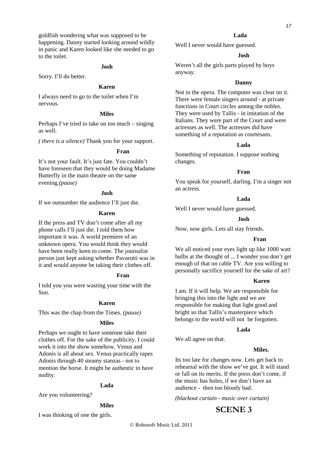goldfish wondering what was supposed to be happening. Danny started looking around wildly in panic and Karen looked like she needed to go to the toilet.

### **Josh**

Sorry. I'll do better.

### **Karen**

I always need to go to the toilet when I'm nervous.

### **Miles**

Perhaps I've tried to take on too much – singing as well.

*( there is a silence)* Thank you for your support.

# **Fran**

It's not your fault. It's just fate. You couldn't have foreseen that they would be doing Madame Butterfly in the main theatre on the same evening.*(pause)* 

### **Josh**

If we outnumber the audience I'll just die.

### **Karen**

If the press and TV don't come after all my phone calls I'll just die. I told them how important it was. A world premiere of an unknown opera. You would think they would have been really keen to come. The journalist person just kept asking whether Pavarotti was in it and would anyone be taking their clothes off.

### **Fran**

I told you you were wasting your time with the Sun.

### **Karen**

This was the chap from the Times. *(pause)* 

### **Miles**

Perhaps we ought to have someone take their clothes off. For the sake of the publicity. I could work it into the show somehow. Venus and Adonis is all about sex. Venus practically rapes Adonis through 40 steamy stanzas - not to mention the horse. It might be authentic to have nudity.

#### **Lada**

Are you volunteering?

### **Miles**

I was thinking of one the girls.

# **Lada**

Well I never would have guessed.

### **Josh**

Weren't all the girls parts played by boys anyway.

### **Danny**

Not in the opera. The computer was clear on it. There were female singers around - at private functions in Court circles among the nobles. They were used by Tallis - in imitation of the Italians. They were part of the Court and were actresses as well. The actresses did have something of a reputation as courtesans.

### **Lada**

Something of reputation. I suppose nothing changes.

### **Fran**

You speak for yourself, darling. I'm a singer not an actress.

### **Lada**

Well I never would have guessed.

### **Josh**

Now, now girls. Lets all stay friends.

#### **Fran**

We all noticed your eyes light up like 1000 watt bulbs at the thought of ... I wonder you don't get enough of that on cable TV. Are you willing to personally sacrifice yourself for the sake of art?

### **Karen**

I am. If it will help. We are responsible for bringing this into the light and we are responsible for making that light good and bright so that Tallis's masterpiece which belongs to the world will not be forgotten.

### **Lada**

We all agree on that.

### **Miles.**

Its too late for changes now. Lets get back to rehearsal with the show we've got. It will stand or fall on its merits. If the press don't come, if the music has holes, if we don't have an audience - then too bloody bad.

*(blackout curtain - music over curtain)* 

# **SCENE 3**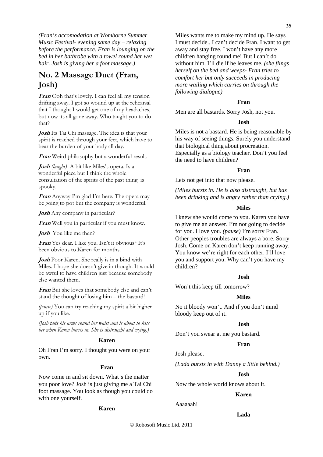*(Fran's accomodation at Womborne Summer Music Festival- evening same day – relaxing before the performance. Fran is lounging on the bed in her bathrobe with a towel round her wet hair. Josh is giving her a foot massage.)* 

# **No. 2 Massage Duet (Fran, Josh)**

**Fran** Ooh that's lovely. I can feel all my tension drifting away. I got so wound up at the rehearsal that I thought I would get one of my headaches, but now its all gone away. Who taught you to do that?

**Josh** Its Tai Chi massage. The idea is that your spirit is reached through your feet, which have to bear the burden of your body all day.

**Fran** Weird philosophy but a wonderful result.

**Josh** *(laughs)* A bit like Miles's opera. Is a wonderful piece but I think the whole consultation of the spirits of the past thing is spooky.

**Fran** Anyway I'm glad I'm here. The opera may be going to pot but the company is wonderful.

**Josh** Any company in particular?

**Fran** Well you in particular if you must know.

**Josh** You like me then?

**Fran** Yes dear. I like you. Isn't it obvious? It's been obvious to Karen for months.

**Josh** Poor Karen. She really is in a bind with Miles. I hope she doesn't give in though. It would be awful to have children just because somebody else wanted them.

**Fran** But she loves that somebody else and can't stand the thought of losing him – the bastard!

*(pause)* You can try reaching my spirit a bit higher up if you like.

*(Josh puts his arms round her waist and is about to kiss her when Karen bursts in. She is distraught and crying.)* 

# **Karen**

Oh Fran I'm sorry. I thought you were on your own.

### **Fran**

Now come in and sit down. What's the matter you poor love? Josh is just giving me a Tai Chi foot massage. You look as though you could do with one yourself.

### **Karen**

Miles wants me to make my mind up. He says I must decide.. I can't decide Fran. I want to get away and stay free. I won't have any more children hanging round me! But I can't do without him. I'll die if he leaves me. *(she flings herself on the bed and weeps- Fran tries to comfort her but only succeeds in producing more wailing which carries on through the following dialogue)* 

### **Fran**

Men are all bastards. Sorry Josh, not you.

### **Josh**

Miles is not a bastard. He is being reasonable by his way of seeing things. Surely you understand that biological thing about procreation. Especially as a biology teacher. Don't you feel the need to have children?

### **Fran**

Lets not get into that now please.

*(Miles bursts in. He is also distraught, but has been drinking and is angry rather than crying.)* 

### **Miles**

I knew she would come to you. Karen you have to give me an answer. I'm not going to decide for you. I love you. *(pause)* I'm sorry Fran. Other peoples troubles are always a bore. Sorry Josh. Come on Karen don't keep running away. You know we're right for each other. I'll love you and support you. Why can't you have my children?

### **Josh**

Won't this keep till tomorrow?

# **Miles**

No it bloody won't. And if you don't mind bloody keep out of it.

### **Josh**

Don't you swear at me you bastard.

### **Fran**

Josh please.

*(Lada bursts in with Danny a little behind.)* 

### **Josh**

Now the whole world knows about it.

### **Karen**

Aaaaaah!

### **Lada**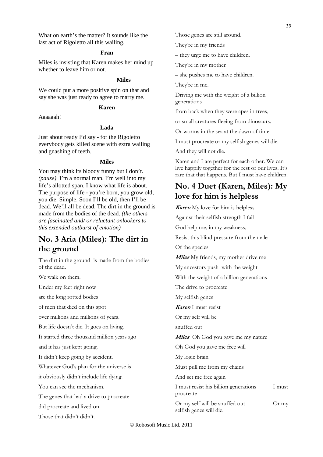What on earth's the matter? It sounds like the last act of Rigoletto all this wailing.

### **Fran**

Miles is insisting that Karen makes her mind up whether to leave him or not.

### **Miles**

We could put a more positive spin on that and say she was just ready to agree to marry me.

### **Karen**

Aaaaaah!

# **Lada**

Just about ready I'd say - for the Rigoletto everybody gets killed scene with extra wailing and gnashing of teeth.

### **Miles**

You may think its bloody funny but I don't. *(pause)* I'm a normal man. I'm well into my life's allotted span. I know what life is about. The purpose of life - you're born, you grow old, you die. Simple. Soon I'll be old, then I'll be dead. We'll all be dead. The dirt in the ground is made from the bodies of the dead. *(the others are fascinated and/ or reluctant onlookers to this extended outburst of emotion)* 

# **No. 3 Aria (Miles): The dirt in the ground**

The dirt in the ground is made from the bodies of the dead.

We walk on them.

Under my feet right now

are the long rotted bodies

of men that died on this spot

over millions and millions of years.

But life doesn't die. It goes on living.

It started three thousand million years ago

and it has just kept going.

It didn't keep going by accident.

Whatever God's plan for the universe is

it obviously didn't include life dying.

You can see the mechanism.

The genes that had a drive to procreate

did procreate and lived on.

Those that didn't didn't.

Those genes are still around.

They're in my friends

– they urge me to have children.

They're in my mother

– she pushes me to have children.

They're in me.

Driving me with the weight of a billion generations

from back when they were apes in trees,

or small creatures fleeing from dinosaurs.

Or worms in the sea at the dawn of time.

I must procreate or my selfish genes will die.

And they will not die.

Karen and I are perfect for each other. We can live happily together for the rest of our lives. It's rare that that happens. But I must have children.

# **No. 4 Duet (Karen, Miles): My love for him is helpless**

**Karen** My love for him is helpless

Against their selfish strength I fail God help me, in my weakness, Resist this blind pressure from the male Of the species **Miles** My friends, my mother drive me My ancestors push with the weight With the weight of a billion generations The drive to procreate My selfish genes **Karen** I must resist Or my self will be snuffed out **Miles** Oh God you gave me my nature Oh God you gave me free will My logic brain Must pull me from my chains And set me free again I must resist his billion generations I must procreate Or my self will be snuffed out Or my selfish genes will die.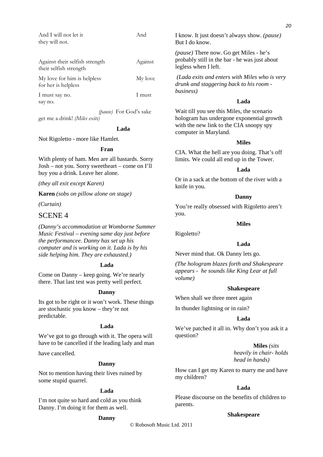| And I will not let it          | And                                                                                      |
|--------------------------------|------------------------------------------------------------------------------------------|
| they will not.                 |                                                                                          |
|                                |                                                                                          |
|                                |                                                                                          |
| Against their selfish strength | Against                                                                                  |
| their selfish strength         |                                                                                          |
| My love for him is helpless    | My love                                                                                  |
| for her is helpless            |                                                                                          |
|                                |                                                                                          |
| 1 must say no.                 | I must                                                                                   |
| say no.                        |                                                                                          |
|                                | $(4 \text{ and } \Gamma_{\alpha}, \Gamma_{\alpha}A_{\alpha}^{\dagger}, \Gamma_{\alpha})$ |

 *(pause)* For God's sake get me a drink! *(Miles exits)* 

### **Lada**

Not Rigoletto - more like Hamlet.

### **Fran**

With plenty of ham. Men are all bastards. Sorry Josh – not you. Sorry sweetheart – come on I'll buy you a drink. Leave her alone.

*(they all exit except Karen)* 

**Karen** *(sobs on pillow alone on stage)* 

*(Curtain)* 

# SCENE 4

*(Danny's accommodation at Womborne Summer Music Festival – evening same day just before the performancee. Danny has set up his computer and is working on it. Lada is by his side helping him. They are exhausted.)* 

### **Lada**

Come on Danny – keep going. We're nearly there. That last test was pretty well perfect.

### **Danny**

Its got to be right or it won't work. These things are stochastic you know – they're not predictable.

# **Lada**

We've got to go through with it. The opera will have to be cancelled if the leading lady and man

have cancelled.

### **Danny**

Not to mention having their lives ruined by some stupid quarrel.

# **Lada**

I'm not quite so hard and cold as you think Danny. I'm doing it for them as well.

### **Danny**

I know. It just doesn't always show. *(pause)* But I do know.

*(pause)* There now. Go get Miles - he's probably still in the bar - he was just about legless when I left.

 *(Lada exits and enters with Miles who is very drunk and staggering back to his room business)* 

### **Lada**

Wait till you see this Miles, the scenario hologram has undergone exponential growth with the new link to the CIA snoopy spy computer in Maryland.

### **Miles**

CIA. What the hell are you doing. That's off limits. We could all end up in the Tower.

# **Lada**

Or in a sack at the bottom of the river with a knife in you.

### **Danny**

You're really obsessed with Rigoletto aren't you.

### **Miles**

Rigoletto?

# **Lada**

Never mind that. Ok Danny lets go.

*(The hologram blazes forth and Shakespeare appears - he sounds like King Lear at full volume)* 

### **Shakespeare**

When shall we three meet again

In thunder lightning or in rain?

# **Lada**

We've patched it all in. Why don't you ask it a question?

> **Miles** *(sits heavily in chair- holds head in hands)*

How can I get my Karen to marry me and have my children?

### **Lada**

Please discourse on the benefits of children to parents.

# **Shakespeare**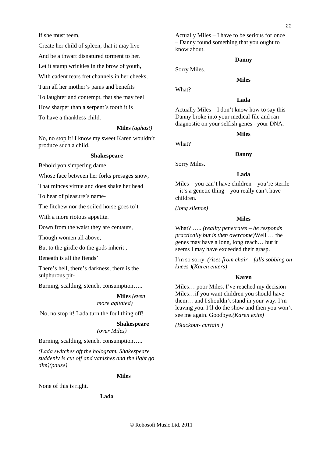If she must teem,

Create her child of spleen, that it may live And be a thwart disnatured torment to her. Let it stamp wrinkles in the brow of youth, With cadent tears fret channels in her cheeks, Turn all her mother's pains and benefits To laughter and contempt, that she may feel How sharper than a serpent's tooth it is To have a thankless child.

**Miles** *(aghast)*

No, no stop it! I know my sweet Karen wouldn't produce such a child.

### **Shakespeare**

Behold yon simpering dame

Whose face between her forks presages snow,

That minces virtue and does shake her head

To hear of pleasure's name-

The fitchew nor the soiled horse goes to't

With a more riotous appetite.

Down from the waist they are centaurs,

Though women all above;

But to the girdle do the gods inherit ,

Beneath is all the fiends'

There's hell, there's darkness, there is the sulphurous pit-

Burning, scalding, stench, consumption…..

**Miles** *(even more agitated)* 

No, no stop it! Lada turn the foul thing off!

# **Shakespeare**

*(over Miles)*

Burning, scalding, stench, consumption…..

*(Lada switches off the hologram. Shakespeare suddenly is cut off and vanishes and the light go dim)(pause)* 

# **Miles**

None of this is right.

### **Lada**

Actually Miles – I have to be serious for once – Danny found something that you ought to know about.

### **Danny**

**Miles** 

Sorry Miles.

What?

# **Lada**

Actually Miles – I don't know how to say this – Danny broke into your medical file and ran diagnostic on your selfish genes - your DNA.

### **Miles**

What?

### **Danny**

Sorry Miles.

### **Lada**

Miles – you can't have children – you're sterile – it's a genetic thing – you really can't have children.

*(long silence)* 

# **Miles**

What? ….. *(reality penetrates – he responds practically but is then overcome)*Well … the genes may have a long, long reach… but it seems I may have exceeded their grasp.

I'm so sorry. *(rises from chair – falls sobbing on knees )(Karen enters)*

### **Karen**

Miles… poor Miles. I've reached my decision Miles…if you want children you should have them… and I shouldn't stand in your way. I'm leaving you. I'll do the show and then you won't see me again. Goodbye.*(Karen exits)*

*(Blackout- curtain.)*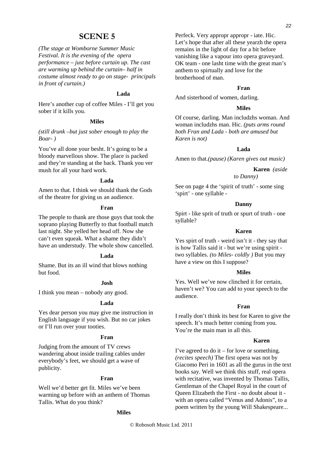# **SCENE 5**

*(The stage at Womborne Summer Music Festival. It is the evening of the opera performance – just before curtain up. The cast are warming up behind the curtain– half in costume almost ready to go on stage- principals in front of curtain.)* 

### **Lada**

Here's another cup of coffee Miles - I'll get you sober if it kills you.

### **Miles**

*(still drunk –but just sober enough to play the Boar- )*

You've all done your besht. It's going to be a bloody marvellous show. The place is packed and they're standing at the back. Thank you ver mush for all your hard work.

# **Lada**

Amen to that. I think we should thank the Gods of the theatre for giving us an audience.

### **Fran**

The people to thank are those guys that took the soprano playing Butterfly to that football match last night. She yelled her head off. Now she can't even squeak. What a shame they didn't have an understudy. The whole show cancelled.

### **Lada**

Shame. But its an ill wind that blows nothing but food.

### **Josh**

I think you mean – nobody any good.

### **Lada**

Yes dear person you may give me instruction in English language if you wish. But no car jokes or I'll run over your tooties.

### **Fran**

Judging from the amount of TV crews wandering about inside trailing cables under everybody's feet, we should get a wave of publicity.

### **Fran**

Well we'd better get fit. Miles we've been warming up before with an anthem of Thomas Tallis. What do you think?

### **Miles**

Perfeck. Very appropr appropr - iate. Hic. Let's hope that after all these yearzh the opera remains in the light of day for a bit before vanishing like a vapour into opera graveyard. OK team - one lasht time with the great man's anthem to spirtually and love for the brotherhood of man.

### **Fran**

And sisterhood of women, darling.

### **Miles**

Of course, darling. Man includzhs woman. And woman includzhs man. Hic. *(puts arms round both Fran and Lada - both are amused but Karen is not)* 

### **Lada**

Amen to that.*(pause) (Karen gives out music)* 

# **Karen** *(aside*

# *to Danny)*

See on page 4 the 'spirit of truth' - some sing 'spirt' - one syllable -

### **Danny**

Spirt - like sprit of truth or spurt of truth - one syllable?

### **Karen**

Yes spirt of truth - weird isn't it - they say that is how Tallis said it - but we're using spirit two syllables. *(to Miles- coldly )* But you may have a view on this I suppose?

### **Miles**

Yes. Well we've now clinched it for certain, haven't we? You can add to your speech to the audience.

### **Fran**

I really don't think its best for Karen to give the speech. It's much better coming from you. You're the main man in all this.

### **Karen**

I've agreed to do it – for love or something. *(recites speech)* The first opera was not by Giacomo Peri in 1601 as all the gurus in the text books say. Well we think this stuff, real opera with recitative, was invented by Thomas Tallis, Gentleman of the Chapel Royal in the court of Queen Elizabeth the First - no doubt about it with an opera called "Venus and Adonis", to a poem written by the young Will Shakespeare...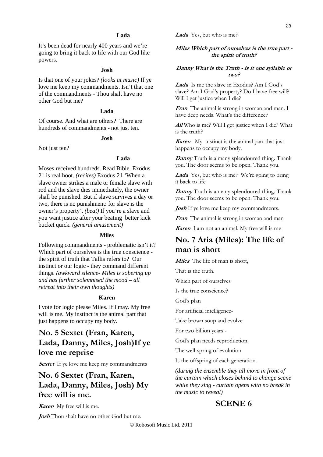### **Lada**

It's been dead for nearly 400 years and we're going to bring it back to life with our God like powers.

### **Josh**

Is that one of your jokes? *(looks at music)* If ye love me keep my commandments. Isn't that one of the commandments - Thou shalt have no other God but me?

# **Lada**

Of course. And what are others? There are hundreds of commandments - not just ten.

# **Josh**

Not just ten?

## **Lada**

Moses received hundreds. Read Bible. Exodus 21 is real hoot. *(recites)* Exodus 21 'When a slave owner strikes a male or female slave with rod and the slave dies immediately, the owner shall be punished. But if slave survives a day or two, there is no punishment: for slave is the owner's property'. *(beat)* If you're a slave and you want justice after your beating better kick bucket quick. *(general amusement)* 

### **Miles**

Following commandments - problematic isn't it? Which part of ourselves is the true conscience the spirit of truth that Tallis refers to? Our instinct or our logic - they command different things. *(awkward silence- Miles is sobering up and has further solemnised the mood – all retreat into their own thoughts)* 

### **Karen**

I vote for logic please Miles. If I may. My free will is me. My instinct is the animal part that just happens to occupy my body.

# **No. 5 Sextet (Fran, Karen, Lada, Danny, Miles, Josh)If ye love me reprise**

**Sextet** If ye love me keep my commandments

# **No. 6 Sextet (Fran, Karen, Lada, Danny, Miles, Josh) My free will is me.**

**Karen** My free will is me.

**Josh** Thou shalt have no other God but me.

**Lada** Yes, but who is me?

# **Miles Which part of ourselves is the true part the spirit of truth?**

# **Danny What is the Truth - is it one syllable or two?**

**Lada** Is me the slave in Exodus? Am I God's slave? Am I God's property? Do I have free will? Will I get justice when I die?

**Fran** The animal is strong in woman and man. I have deep needs. What's the difference?

**All** Who is me? Will I get justice when I die? What is the truth?

**Karen** My instinct is the animal part that just happens to occupy my body.

**Danny** Truth is a many splendoured thing. Thank you. The door seems to be open. Thank you.

Lada Yes, but who is me? We're going to bring it back to life

**Danny** Truth is a many splendoured thing. Thank you. The door seems to be open. Thank you.

*Josh* If ye love me keep my commandments.

**Fran** The animal is strong in woman and man

**Karen** I am not an animal. My free will is me

# **No. 7 Aria (Miles): The life of man is short**

**Miles** The life of man is short,

That is the truth.

Which part of ourselves

Is the true conscience?

God's plan

For artificial intelligence-

Take brown soup and evolve

For two billion years -

God's plan needs reproduction.

The well-spring of evolution

Is the offspring of each generation.

*(during the ensemble they all move in front of the curtain which closes behind to change scene while they sing - curtain opens with no break in the music to reveal)* 

# **SCENE 6**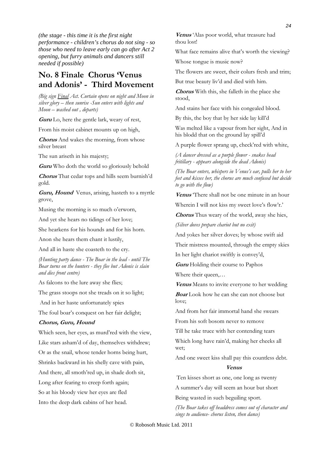*(the stage - this time it is the first night performance - children's chorus do not sing - so those who need to leave early can go after Act 2 opening, but furry animals and dancers still needed if possible)* 

# **No. 8 Finale Chorus 'Venus and Adonis' - Third Movement**

*(Big sign Final Act. Curtain opens on night and Moon in silver glory – then sunrise -Sun enters with lights and Moon – washed out , departs)* 

**Guru** Lo, here the gentle lark, weary of rest,

From his moist cabinet mounts up on high,

**Chorus** And wakes the morning, from whose silver breast

The sun ariseth in his majesty;

**Guru** Who doth the world so gloriously behold

**Chorus** That cedar tops and hills seem burnish'd gold.

**Guru, Hound** Venus, arising, hasteth to a myrtle grove,

Musing the morning is so much o'erworn,

And yet she hears no tidings of her love;

She hearkens for his hounds and for his horn.

Anon she hears them chant it lustily,

And all in haste she coasteth to the cry.

*(Hunting party dance - The Boar in the lead - until The Boar turns on the hunters - they flee but Adonis is slain and dies front centre)* 

As falcons to the lure away she flies;

The grass stoops not she treads on it so light;

And in her haste unfortunately spies

The foul boar's conquest on her fair delight;

### **Chorus, Guru, Hound**

Which seen, her eyes, as murd'red with the view, Like stars asham'd of day, themselves withdrew; Or as the snail, whose tender horns being hurt, Shrinks backward in his shelly cave with pain, And there, all smoth'red up, in shade doth sit, Long after fearing to creep forth again; So at his bloody view her eyes are fled Into the deep dark cabins of her head.

**Venus** 'Alas poor world, what treasure had thou lost!

What face remains alive that's worth the viewing?

Whose tongue is music now?

The flowers are sweet, their colurs fresh and trim;

But true beauty liv'd and died with him.

**Chorus** With this, she falleth in the place she stood,

And stains her face with his congealed blood.

By this, the boy that by her side lay kill'd

Was melted like a vapour from her sight, And in his blodd that on the ground lay spill'd

A purple flower sprang up, check'red with white,

*(A dancer dressed as a purple flower - snakes head fritillary - appears alongside the dead Adonis)* 

*(The Boar enters, whispers in Venus's ear, pulls her to her feet and kisses her, the chorus are much confused but decide to go with the flow)* 

**Venus** 'There shall not be one minute in an hour

Wherein I will not kiss my sweet love's flow'r.'

**Chorus** Thus weary of the world, away she hies,

*(Silver doves prepare chariot but no exit)* 

And yokes her silver doves; by whose swift aid

Their mistress mounted, through the empty skies

In her light chariot swiftly is convey'd,

**Guru** Holding their course to Paphos

Where their queen,…

**Venus** Means to invite everyone to her wedding

**Boar** Look how he can she can not choose but love;

And from her fair immortal hand she swears

From his soft bosom never to remove

Till he take truce with her contending tears

Which long have rain'd, making her cheeks all wet;

And one sweet kiss shall pay this countless debt.

### **Venus**

Ten kisses short as one, one long as twenty

A summer's day will seem an hour but short

Being wasted in such beguiling sport.

*(The Boar takes off headdress comes out of character and sings to audience- chorus listen, then dance)*